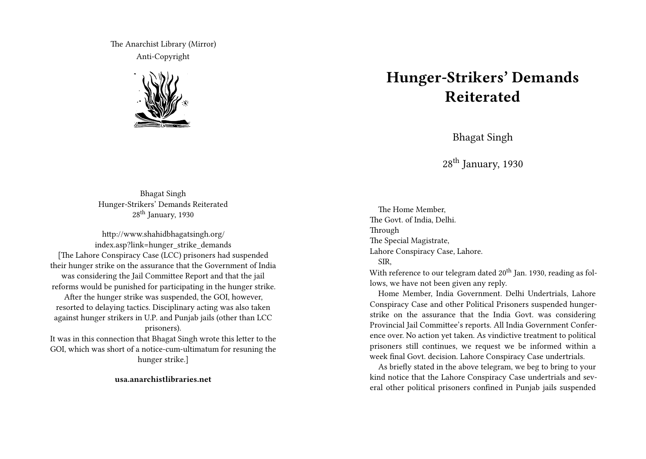The Anarchist Library (Mirror) Anti-Copyright



## **Hunger-Strikers' Demands Reiterated**

Bhagat Singh

 $28<sup>th</sup>$  January, 1930

Bhagat Singh Hunger-Strikers' Demands Reiterated 28th January, 1930

http://www.shahidbhagatsingh.org/ index.asp?link=hunger\_strike\_demands [The Lahore Conspiracy Case (LCC) prisoners had suspended their hunger strike on the assurance that the Government of India was considering the Jail Committee Report and that the jail reforms would be punished for participating in the hunger strike. After the hunger strike was suspended, the GOI, however, resorted to delaying tactics. Disciplinary acting was also taken against hunger strikers in U.P. and Punjab jails (other than LCC prisoners).

It was in this connection that Bhagat Singh wrote this letter to the GOI, which was short of a notice-cum-ultimatum for resuning the hunger strike.]

**usa.anarchistlibraries.net**

The Home Member, The Govt. of India, Delhi. Through The Special Magistrate, Lahore Conspiracy Case, Lahore. SIR,

With reference to our telegram dated 20<sup>th</sup> Jan. 1930, reading as follows, we have not been given any reply.

Home Member, India Government. Delhi Undertrials, Lahore Conspiracy Case and other Political Prisoners suspended hungerstrike on the assurance that the India Govt. was considering Provincial Jail Committee's reports. All India Government Conference over. No action yet taken. As vindictive treatment to political prisoners still continues, we request we be informed within a week final Govt. decision. Lahore Conspiracy Case undertrials.

As briefly stated in the above telegram, we beg to bring to your kind notice that the Lahore Conspiracy Case undertrials and several other political prisoners confined in Punjab jails suspended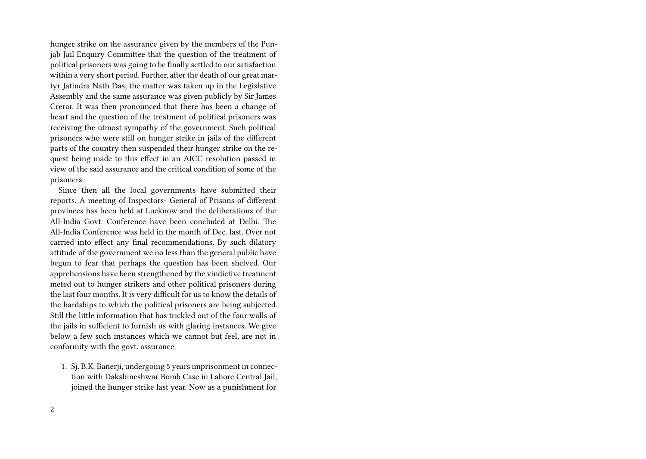hunger strike on the assurance given by the members of the Punjab Jail Enquiry Committee that the question of the treatment of political prisoners was going to be finally settled to our satisfaction within a very short period. Further, after the death of our great martyr Jatindra Nath Das, the matter was taken up in the Legislative Assembly and the same assurance was given publicly by Sir James Crerar. It was then pronounced that there has been a change of heart and the question of the treatment of political prisoners was receiving the utmost sympathy of the government. Such political prisoners who were still on hunger strike in jails of the different parts of the country then suspended their hunger strike on the request being made to this effect in an AICC resolution passed in view of the said assurance and the critical condition of some of the prisoners.

Since then all the local governments have submitted their reports. A meeting of Inspectors- General of Prisons of different provinces has been held at Lucknow and the deliberations of the All-India Govt. Conference have been concluded at Delhi. The All-India Conference was held in the month of Dec. last. Over not carried into effect any final recommendations. By such dilatory attitude of the government we no less than the general public have begun to fear that perhaps the question has been shelved. Our apprehensions have been strengthened by the vindictive treatment meted out to hunger strikers and other political prisoners during the last four months. It is very difficult for us to know the details of the hardships to which the political prisoners are being subjected. Still the little information that has trickled out of the four walls of the jails in sufficient to furnish us with glaring instances. We give below a few such instances which we cannot but feel, are not in conformity with the govt. assurance.

1. Sj. B.K. Banerji, undergoing 5 years imprisonment in connection with Dakshineshwar Bomb Case in Lahore Central Jail, joined the hunger strike last year. Now as a punishment for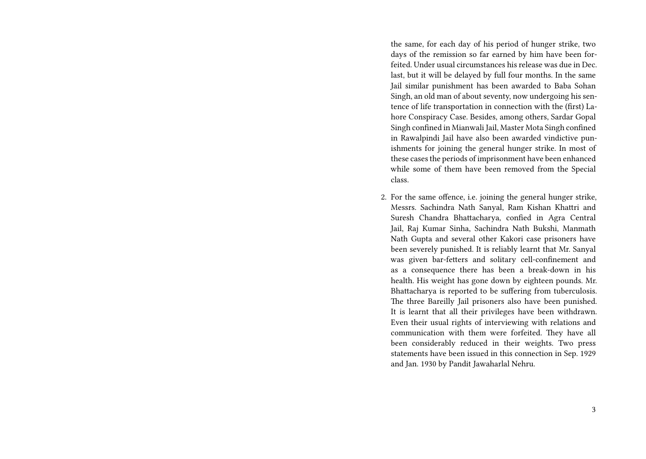the same, for each day of his period of hunger strike, two days of the remission so far earned by him have been forfeited. Under usual circumstances his release was due in Dec. last, but it will be delayed by full four months. In the same Jail similar punishment has been awarded to Baba Sohan Singh, an old man of about seventy, now undergoing his sentence of life transportation in connection with the (first) Lahore Conspiracy Case. Besides, among others, Sardar Gopal Singh confined in Mianwali Jail, Master Mota Singh confined in Rawalpindi Jail have also been awarded vindictive punishments for joining the general hunger strike. In most of these cases the periods of imprisonment have been enhanced while some of them have been removed from the Special class.

2. For the same offence, i.e. joining the general hunger strike, Messrs. Sachindra Nath Sanyal, Ram Kishan Khattri and Suresh Chandra Bhattacharya, confied in Agra Central Jail, Raj Kumar Sinha, Sachindra Nath Bukshi, Manmath Nath Gupta and several other Kakori case prisoners have been severely punished. It is reliably learnt that Mr. Sanyal was given bar-fetters and solitary cell-confinement and as a consequence there has been a break-down in his health. His weight has gone down by eighteen pounds. Mr. Bhattacharya is reported to be suffering from tuberculosis. The three Bareilly Jail prisoners also have been punished. It is learnt that all their privileges have been withdrawn. Even their usual rights of interviewing with relations and communication with them were forfeited. They have all been considerably reduced in their weights. Two press statements have been issued in this connection in Sep. 1929 and Jan. 1930 by Pandit Jawaharlal Nehru.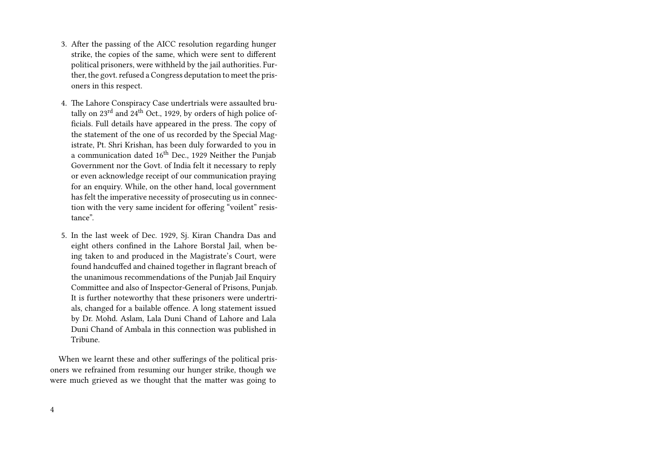- 3. After the passing of the AICC resolution regarding hunger strike, the copies of the same, which were sent to different political prisoners, were withheld by the jail authorities. Further, the govt. refused a Congress deputation to meet the prisoners in this respect.
- 4. The Lahore Conspiracy Case undertrials were assaulted brutally on 23<sup>rd</sup> and 24<sup>th</sup> Oct., 1929, by orders of high police officials. Full details have appeared in the press. The copy of the statement of the one of us recorded by the Special Magistrate, Pt. Shri Krishan, has been duly forwarded to you in a communication dated  $16<sup>th</sup>$  Dec., 1929 Neither the Punjab Government nor the Govt. of India felt it necessary to reply or even acknowledge receipt of our communication praying for an enquiry. While, on the other hand, local government has felt the imperative necessity of prosecuting us in connection with the very same incident for offering "voilent" resistance".
- 5. In the last week of Dec. 1929, Sj. Kiran Chandra Das and eight others confined in the Lahore Borstal Jail, when being taken to and produced in the Magistrate's Court, were found handcuffed and chained together in flagrant breach of the unanimous recommendations of the Punjab Jail Enquiry Committee and also of Inspector-General of Prisons, Punjab. It is further noteworthy that these prisoners were undertrials, changed for a bailable offence. A long statement issued by Dr. Mohd. Aslam, Lala Duni Chand of Lahore and Lala Duni Chand of Ambala in this connection was published in Tribune.

When we learnt these and other sufferings of the political prisoners we refrained from resuming our hunger strike, though we were much grieved as we thought that the matter was going to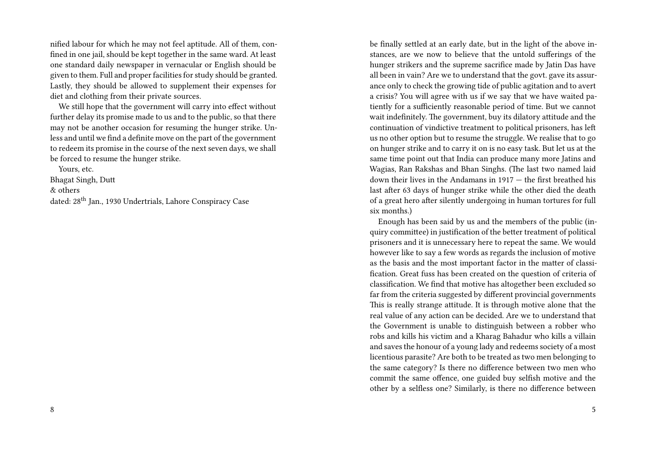nified labour for which he may not feel aptitude. All of them, confined in one jail, should be kept together in the same ward. At least one standard daily newspaper in vernacular or English should be given to them. Full and proper facilities for study should be granted. Lastly, they should be allowed to supplement their expenses for diet and clothing from their private sources.

We still hope that the government will carry into effect without further delay its promise made to us and to the public, so that there may not be another occasion for resuming the hunger strike. Unless and until we find a definite move on the part of the government to redeem its promise in the course of the next seven days, we shall be forced to resume the hunger strike.

Yours, etc.

Bhagat Singh, Dutt

& others

dated: 28<sup>th</sup> Jan., 1930 Undertrials, Lahore Conspiracy Case

be finally settled at an early date, but in the light of the above instances, are we now to believe that the untold sufferings of the hunger strikers and the supreme sacrifice made by Jatin Das have all been in vain? Are we to understand that the govt. gave its assurance only to check the growing tide of public agitation and to avert a crisis? You will agree with us if we say that we have waited patiently for a sufficiently reasonable period of time. But we cannot wait indefinitely. The government, buy its dilatory attitude and the continuation of vindictive treatment to political prisoners, has left us no other option but to resume the struggle. We realise that to go on hunger strike and to carry it on is no easy task. But let us at the same time point out that India can produce many more Jatins and Wagias, Ran Rakshas and Bhan Singhs. (The last two named laid down their lives in the Andamans in 1917 — the first breathed his last after 63 days of hunger strike while the other died the death of a great hero after silently undergoing in human tortures for full six months.)

Enough has been said by us and the members of the public (inquiry committee) in justification of the better treatment of political prisoners and it is unnecessary here to repeat the same. We would however like to say a few words as regards the inclusion of motive as the basis and the most important factor in the matter of classification. Great fuss has been created on the question of criteria of classification. We find that motive has altogether been excluded so far from the criteria suggested by different provincial governments This is really strange attitude. It is through motive alone that the real value of any action can be decided. Are we to understand that the Government is unable to distinguish between a robber who robs and kills his victim and a Kharag Bahadur who kills a villain and saves the honour of a young lady and redeems society of a most licentious parasite? Are both to be treated as two men belonging to the same category? Is there no difference between two men who commit the same offence, one guided buy selfish motive and the other by a selfless one? Similarly, is there no difference between